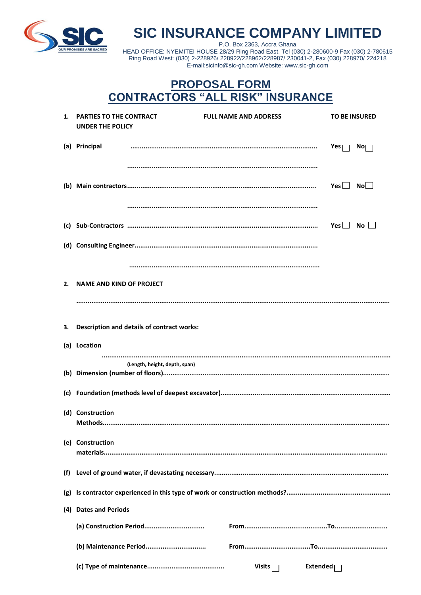

**SIC INSURANCE COMPANY LIMITED** 

P.O. Box 2363, Accra Ghana HEAD OFFICE: NYEMITEI HOUSE 28/29 Ring Road East. Tel (030) 2-280600-9 Fax (030) 2-780615 Ring Road West: (030) 2-228926/ 228922/228962/228987/ 230041-2, Fax (030) 228970/ 224218 E-mail:sicinfo@sic-gh.com Website: www.sic-gh.com

## **PROPOSAL FORM CONTRACTORS "ALL RISK" INSURANCE**

|     | 1. PARTIES TO THE CONTRACT<br><b>UNDER THE POLICY</b> |                               | <b>FULL NAME AND ADDRESS</b> | <b>TO BE INSURED</b>          |
|-----|-------------------------------------------------------|-------------------------------|------------------------------|-------------------------------|
|     | (a) Principal                                         |                               |                              | $Yes \Gamma$<br>$\mathsf{No}$ |
|     |                                                       |                               |                              |                               |
|     |                                                       |                               |                              | Yes $\Box$ No $\Box$          |
|     |                                                       |                               |                              |                               |
|     |                                                       |                               |                              | Yes $\Box$ No $\Box$          |
|     |                                                       |                               |                              |                               |
|     |                                                       |                               |                              |                               |
| 2.  | NAME AND KIND OF PROJECT                              |                               |                              |                               |
|     |                                                       |                               |                              |                               |
| 3.  | <b>Description and details of contract works:</b>     |                               |                              |                               |
|     | (a) Location                                          |                               |                              |                               |
|     |                                                       | (Length, height, depth, span) |                              |                               |
|     |                                                       |                               |                              |                               |
|     |                                                       |                               |                              |                               |
|     | (d) Construction                                      |                               |                              |                               |
|     | (e) Construction                                      |                               |                              |                               |
| (f) |                                                       |                               |                              |                               |
| (g) |                                                       |                               |                              |                               |
| (4) | <b>Dates and Periods</b>                              |                               |                              |                               |
|     |                                                       |                               |                              |                               |
|     |                                                       | (b) Maintenance Period        |                              |                               |
|     |                                                       |                               | Visits $\lceil$              | Extended <sub>[</sub>         |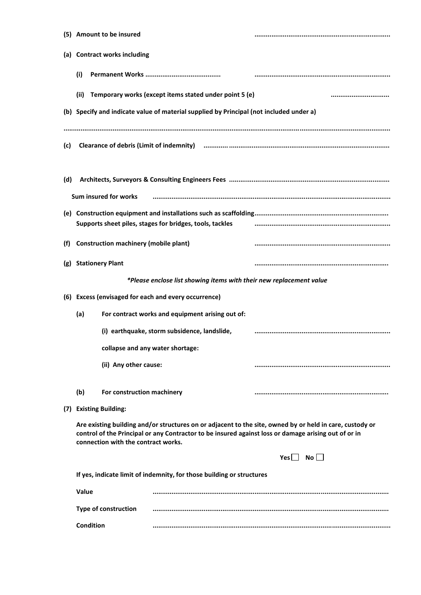|                                                                       | (5) Amount to be insured                                                                                                                                                                                                                                |                                                                                         |                      |  |  |  |
|-----------------------------------------------------------------------|---------------------------------------------------------------------------------------------------------------------------------------------------------------------------------------------------------------------------------------------------------|-----------------------------------------------------------------------------------------|----------------------|--|--|--|
|                                                                       | (a) Contract works including                                                                                                                                                                                                                            |                                                                                         |                      |  |  |  |
|                                                                       | (i)                                                                                                                                                                                                                                                     |                                                                                         |                      |  |  |  |
|                                                                       | (iii)                                                                                                                                                                                                                                                   | Temporary works (except items stated under point 5 (e)                                  |                      |  |  |  |
|                                                                       |                                                                                                                                                                                                                                                         | (b) Specify and indicate value of material supplied by Principal (not included under a) |                      |  |  |  |
| (c)                                                                   |                                                                                                                                                                                                                                                         |                                                                                         |                      |  |  |  |
| (d)                                                                   | Sum insured for works                                                                                                                                                                                                                                   |                                                                                         |                      |  |  |  |
|                                                                       | Supports sheet piles, stages for bridges, tools, tackles                                                                                                                                                                                                |                                                                                         |                      |  |  |  |
| (f)                                                                   | <b>Construction machinery (mobile plant)</b>                                                                                                                                                                                                            |                                                                                         |                      |  |  |  |
| (g)                                                                   | <b>Stationery Plant</b>                                                                                                                                                                                                                                 |                                                                                         |                      |  |  |  |
|                                                                       |                                                                                                                                                                                                                                                         | *Please enclose list showing items with their new replacement value                     |                      |  |  |  |
|                                                                       |                                                                                                                                                                                                                                                         | (6) Excess (envisaged for each and every occurrence)                                    |                      |  |  |  |
|                                                                       | (a)                                                                                                                                                                                                                                                     | For contract works and equipment arising out of:                                        |                      |  |  |  |
|                                                                       |                                                                                                                                                                                                                                                         | (i) earthquake, storm subsidence, landslide,                                            |                      |  |  |  |
|                                                                       |                                                                                                                                                                                                                                                         | collapse and any water shortage:                                                        |                      |  |  |  |
|                                                                       |                                                                                                                                                                                                                                                         | (ii) Any other cause:                                                                   |                      |  |  |  |
|                                                                       | (b)                                                                                                                                                                                                                                                     | For construction machinery                                                              |                      |  |  |  |
|                                                                       | (7) Existing Building:                                                                                                                                                                                                                                  |                                                                                         |                      |  |  |  |
|                                                                       | Are existing building and/or structures on or adjacent to the site, owned by or held in care, custody or<br>control of the Principal or any Contractor to be insured against loss or damage arising out of or in<br>connection with the contract works. |                                                                                         |                      |  |  |  |
|                                                                       |                                                                                                                                                                                                                                                         |                                                                                         | Yes $\Box$ No $\Box$ |  |  |  |
| If yes, indicate limit of indemnity, for those building or structures |                                                                                                                                                                                                                                                         |                                                                                         |                      |  |  |  |
| Value                                                                 |                                                                                                                                                                                                                                                         |                                                                                         |                      |  |  |  |
|                                                                       |                                                                                                                                                                                                                                                         |                                                                                         |                      |  |  |  |
|                                                                       | <b>Condition</b>                                                                                                                                                                                                                                        |                                                                                         |                      |  |  |  |